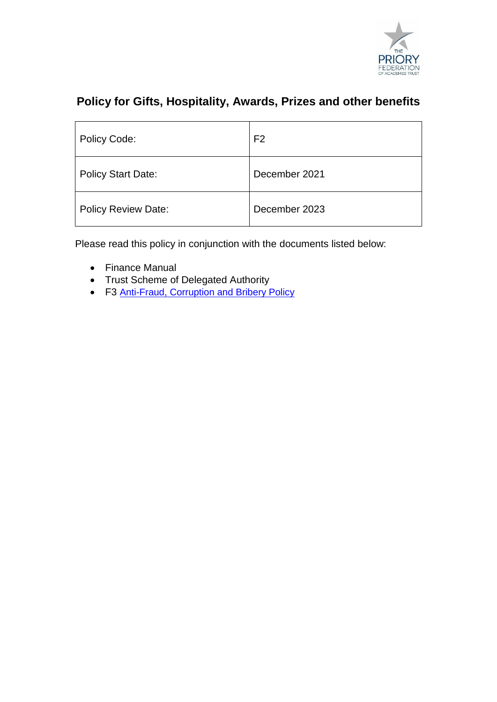

# **Policy for Gifts, Hospitality, Awards, Prizes and other benefits**

| Policy Code:               | F <sub>2</sub> |
|----------------------------|----------------|
| Policy Start Date:         | December 2021  |
| <b>Policy Review Date:</b> | December 2023  |

Please read this policy in conjunction with the documents listed below:

- Finance Manual
- Trust Scheme of Delegated Authority
- F3 [Anti-Fraud, Corruption and Bribery Policy](https://www.prioryacademies.co.uk/_site/data/files/policies/human-resources/704FFAA33B2A8DD8D71804399F1138D9.pdf)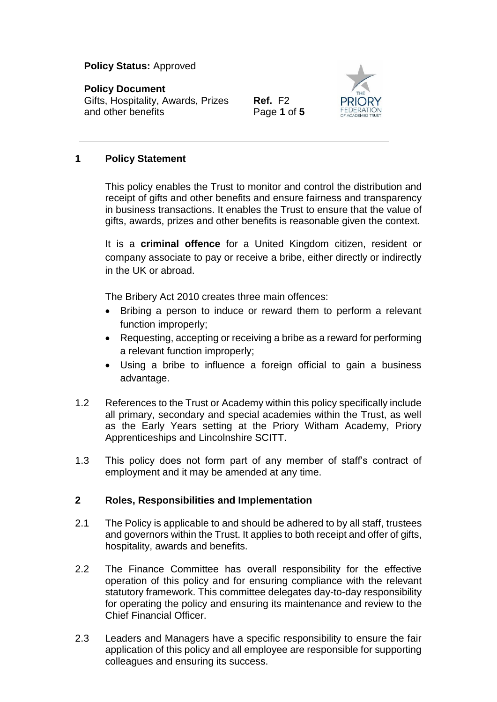#### **Policy Document**

Gifts, Hospitality, Awards, Prizes and other benefits

**Ref.** F2 Page **1** of **5**



#### **1 Policy Statement**

This policy enables the Trust to monitor and control the distribution and receipt of gifts and other benefits and ensure fairness and transparency in business transactions. It enables the Trust to ensure that the value of gifts, awards, prizes and other benefits is reasonable given the context.

It is a **criminal offence** for a United Kingdom citizen, resident or company associate to pay or receive a bribe, either directly or indirectly in the UK or abroad.

The Bribery Act 2010 creates three main offences:

- Bribing a person to induce or reward them to perform a relevant function improperly;
- Requesting, accepting or receiving a bribe as a reward for performing a relevant function improperly;
- Using a bribe to influence a foreign official to gain a business advantage.
- 1.2 References to the Trust or Academy within this policy specifically include all primary, secondary and special academies within the Trust, as well as the Early Years setting at the Priory Witham Academy, Priory Apprenticeships and Lincolnshire SCITT.
- 1.3 This policy does not form part of any member of staff's contract of employment and it may be amended at any time.

#### **2 Roles, Responsibilities and Implementation**

- 2.1 The Policy is applicable to and should be adhered to by all staff, trustees and governors within the Trust. It applies to both receipt and offer of gifts, hospitality, awards and benefits.
- 2.2 The Finance Committee has overall responsibility for the effective operation of this policy and for ensuring compliance with the relevant statutory framework. This committee delegates day-to-day responsibility for operating the policy and ensuring its maintenance and review to the Chief Financial Officer.
- 2.3 Leaders and Managers have a specific responsibility to ensure the fair application of this policy and all employee are responsible for supporting colleagues and ensuring its success.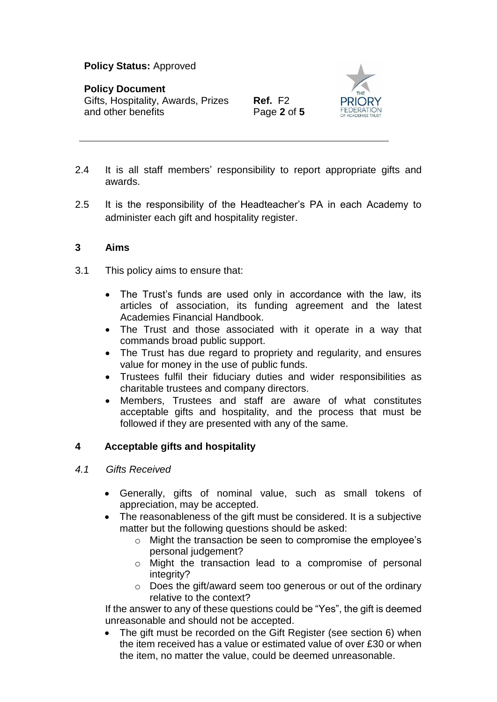#### **Policy Document**

Gifts, Hospitality, Awards, Prizes and other benefits

**Ref.** F2 Page **2** of **5**



- 2.4 It is all staff members' responsibility to report appropriate gifts and awards.
- 2.5 It is the responsibility of the Headteacher's PA in each Academy to administer each gift and hospitality register.

#### **3 Aims**

- 3.1 This policy aims to ensure that:
	- The Trust's funds are used only in accordance with the law, its articles of association, its funding agreement and the latest Academies Financial Handbook.
	- The Trust and those associated with it operate in a way that commands broad public support.
	- The Trust has due regard to propriety and regularity, and ensures value for money in the use of public funds.
	- Trustees fulfil their fiduciary duties and wider responsibilities as charitable trustees and company directors.
	- Members, Trustees and staff are aware of what constitutes acceptable gifts and hospitality, and the process that must be followed if they are presented with any of the same.

# **4 Acceptable gifts and hospitality**

- *4.1 Gifts Received*
	- Generally, gifts of nominal value, such as small tokens of appreciation, may be accepted.
	- The reasonableness of the gift must be considered. It is a subjective matter but the following questions should be asked:
		- o Might the transaction be seen to compromise the employee's personal judgement?
		- o Might the transaction lead to a compromise of personal integrity?
		- o Does the gift/award seem too generous or out of the ordinary relative to the context?

If the answer to any of these questions could be "Yes", the gift is deemed unreasonable and should not be accepted.

• The gift must be recorded on the Gift Register (see section 6) when the item received has a value or estimated value of over £30 or when the item, no matter the value, could be deemed unreasonable.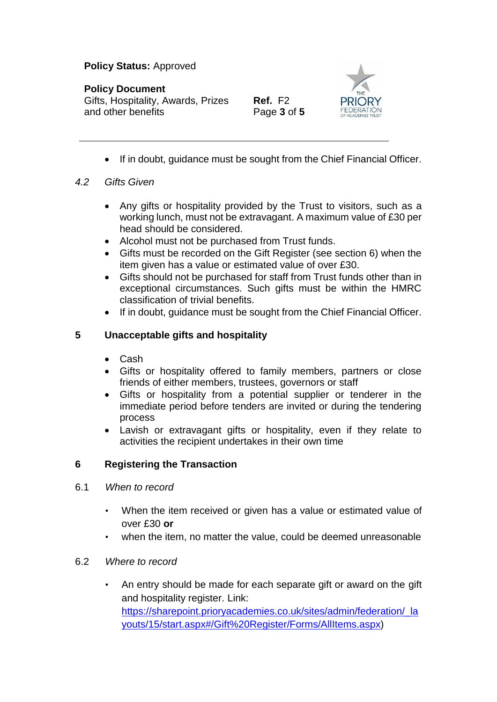# **Policy Document**

Gifts, Hospitality, Awards, Prizes and other benefits

**Ref.** F2 Page **3** of **5**



• If in doubt, guidance must be sought from the Chief Financial Officer.

#### *4.2 Gifts Given*

- Any gifts or hospitality provided by the Trust to visitors, such as a working lunch, must not be extravagant. A maximum value of £30 per head should be considered.
- Alcohol must not be purchased from Trust funds.
- Gifts must be recorded on the Gift Register (see section 6) when the item given has a value or estimated value of over £30.
- Gifts should not be purchased for staff from Trust funds other than in exceptional circumstances. Such gifts must be within the HMRC classification of trivial benefits.
- If in doubt, guidance must be sought from the Chief Financial Officer.

# **5 Unacceptable gifts and hospitality**

- Cash
- Gifts or hospitality offered to family members, partners or close friends of either members, trustees, governors or staff
- Gifts or hospitality from a potential supplier or tenderer in the immediate period before tenders are invited or during the tendering process
- Lavish or extravagant gifts or hospitality, even if they relate to activities the recipient undertakes in their own time

# **6 Registering the Transaction**

- 6.1 *When to record*
	- When the item received or given has a value or estimated value of over £30 **or**
	- when the item, no matter the value, could be deemed unreasonable
- 6.2 *Where to record*
	- An entry should be made for each separate gift or award on the gift and hospitality register. Link: [https://sharepoint.prioryacademies.co.uk/sites/admin/federation/\\_la](https://sharepoint.prioryacademies.co.uk/sites/admin/federation/_layouts/15/start.aspx#/Gift%20Register/Forms/AllItems.aspx) [youts/15/start.aspx#/Gift%20Register/Forms/AllItems.aspx\)](https://sharepoint.prioryacademies.co.uk/sites/admin/federation/_layouts/15/start.aspx#/Gift%20Register/Forms/AllItems.aspx)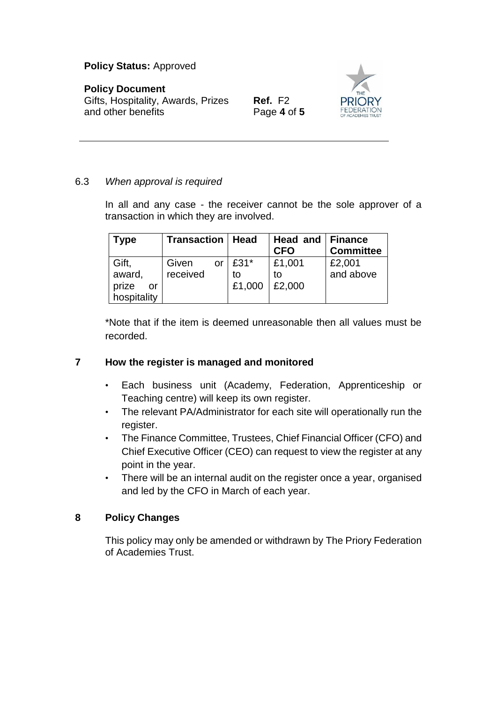#### **Policy Document**

Gifts, Hospitality, Awards, Prizes and other benefits

**Ref.** F2 Page **4** of **5**



#### 6.3 *When approval is required*

In all and any case - the receiver cannot be the sole approver of a transaction in which they are involved.

| Type        | <b>Transaction   Head</b> |      |        | Head and   Finance<br><b>CFO</b> | <b>Committee</b> |
|-------------|---------------------------|------|--------|----------------------------------|------------------|
| Gift,       | Given                     | or I | $£31*$ | £1,001                           | £2,001           |
| award,      | received                  |      | tο     | to                               | and above        |
| prize<br>or |                           |      | £1,000 | £2,000                           |                  |
| hospitality |                           |      |        |                                  |                  |

\*Note that if the item is deemed unreasonable then all values must be recorded.

# **7 How the register is managed and monitored**

- Each business unit (Academy, Federation, Apprenticeship or Teaching centre) will keep its own register.
- The relevant PA/Administrator for each site will operationally run the register.
- The Finance Committee, Trustees, Chief Financial Officer (CFO) and Chief Executive Officer (CEO) can request to view the register at any point in the year.
- There will be an internal audit on the register once a year, organised and led by the CFO in March of each year.

#### **8 Policy Changes**

This policy may only be amended or withdrawn by The Priory Federation of Academies Trust.